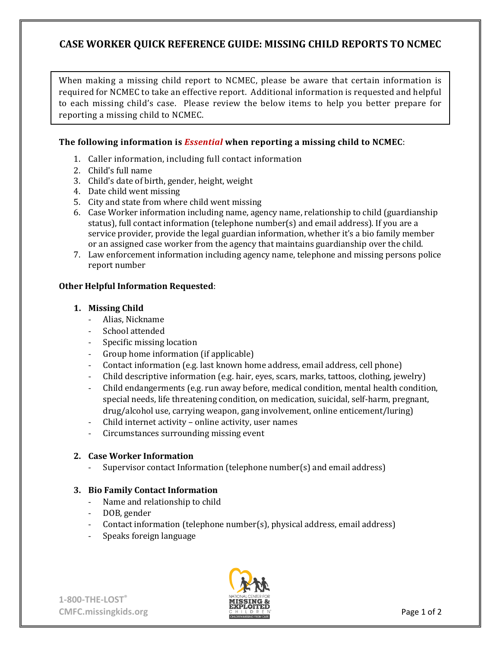## **CASE WORKER QUICK REFERENCE GUIDE: MISSING CHILD REPORTS TO NCMEC**

When making a missing child report to NCMEC, please be aware that certain information is required for NCMEC to take an effective report. Additional information is requested and helpful to each missing child's case. Please review the below items to help you better prepare for reporting a missing child to NCMEC.

### **The following information is** *Essential* **when reporting a missing child to NCMEC**:

- 1. Caller information, including full contact information
- 2. Child's full name
- 3. Child's date of birth, gender, height, weight
- 4. Date child went missing
- 5. City and state from where child went missing
- 6. Case Worker information including name, agency name, relationship to child (guardianship status), full contact information (telephone number(s) and email address). If you are a service provider, provide the legal guardian information, whether it's a bio family member or an assigned case worker from the agency that maintains guardianship over the child.
- 7. Law enforcement information including agency name, telephone and missing persons police report number

### **Other Helpful Information Requested**:

### **1. Missing Child**

- Alias, Nickname
- School attended
- Specific missing location<br>- Group home information
- Group home information (if applicable)
- Contact information (e.g. last known home address, email address, cell phone)
- Child descriptive information (e.g. hair, eyes, scars, marks, tattoos, clothing, jewelry)
- Child endangerments (e.g. run away before, medical condition, mental health condition, special needs, life threatening condition, on medication, suicidal, self-harm, pregnant, drug/alcohol use, carrying weapon, gang involvement, online enticement/luring)
- Child internet activity online activity, user names
- Circumstances surrounding missing event

### **2. Case Worker Information**

- Supervisor contact Information (telephone number(s) and email address)

### **3. Bio Family Contact Information**

- Name and relationship to child
- DOB, gender
- Contact information (telephone number(s), physical address, email address)
- Speaks foreign language